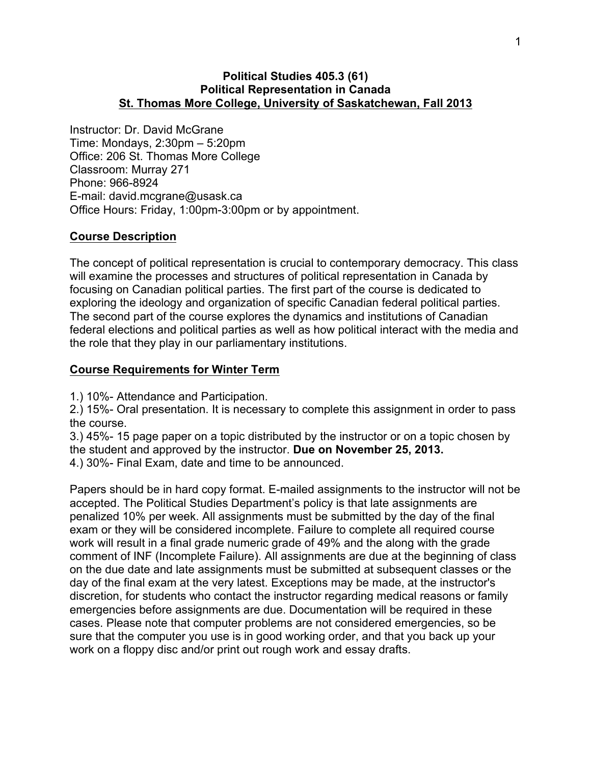#### **Political Studies 405.3 (61) Political Representation in Canada St. Thomas More College, University of Saskatchewan, Fall 2013**

Instructor: Dr. David McGrane Time: Mondays, 2:30pm – 5:20pm Office: 206 St. Thomas More College Classroom: Murray 271 Phone: 966-8924 E-mail: david.mcgrane@usask.ca Office Hours: Friday, 1:00pm-3:00pm or by appointment.

#### **Course Description**

The concept of political representation is crucial to contemporary democracy. This class will examine the processes and structures of political representation in Canada by focusing on Canadian political parties. The first part of the course is dedicated to exploring the ideology and organization of specific Canadian federal political parties. The second part of the course explores the dynamics and institutions of Canadian federal elections and political parties as well as how political interact with the media and the role that they play in our parliamentary institutions.

#### **Course Requirements for Winter Term**

1.) 10%- Attendance and Participation.

2.) 15%- Oral presentation. It is necessary to complete this assignment in order to pass the course.

3.) 45%- 15 page paper on a topic distributed by the instructor or on a topic chosen by the student and approved by the instructor. **Due on November 25, 2013.**  4.) 30%- Final Exam, date and time to be announced.

Papers should be in hard copy format. E-mailed assignments to the instructor will not be accepted. The Political Studies Department's policy is that late assignments are penalized 10% per week. All assignments must be submitted by the day of the final exam or they will be considered incomplete. Failure to complete all required course work will result in a final grade numeric grade of 49% and the along with the grade comment of INF (Incomplete Failure). All assignments are due at the beginning of class on the due date and late assignments must be submitted at subsequent classes or the day of the final exam at the very latest. Exceptions may be made, at the instructor's discretion, for students who contact the instructor regarding medical reasons or family emergencies before assignments are due. Documentation will be required in these cases. Please note that computer problems are not considered emergencies, so be sure that the computer you use is in good working order, and that you back up your work on a floppy disc and/or print out rough work and essay drafts.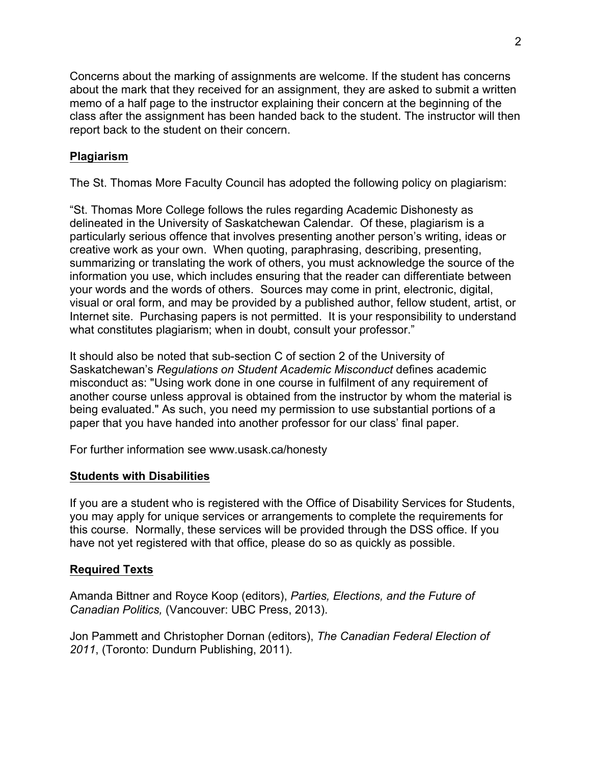Concerns about the marking of assignments are welcome. If the student has concerns about the mark that they received for an assignment, they are asked to submit a written memo of a half page to the instructor explaining their concern at the beginning of the class after the assignment has been handed back to the student. The instructor will then report back to the student on their concern.

# **Plagiarism**

The St. Thomas More Faculty Council has adopted the following policy on plagiarism:

"St. Thomas More College follows the rules regarding Academic Dishonesty as delineated in the University of Saskatchewan Calendar. Of these, plagiarism is a particularly serious offence that involves presenting another person's writing, ideas or creative work as your own. When quoting, paraphrasing, describing, presenting, summarizing or translating the work of others, you must acknowledge the source of the information you use, which includes ensuring that the reader can differentiate between your words and the words of others. Sources may come in print, electronic, digital, visual or oral form, and may be provided by a published author, fellow student, artist, or Internet site. Purchasing papers is not permitted. It is your responsibility to understand what constitutes plagiarism; when in doubt, consult your professor."

It should also be noted that sub-section C of section 2 of the University of Saskatchewan's *Regulations on Student Academic Misconduct* defines academic misconduct as: "Using work done in one course in fulfilment of any requirement of another course unless approval is obtained from the instructor by whom the material is being evaluated." As such, you need my permission to use substantial portions of a paper that you have handed into another professor for our class' final paper.

For further information see www.usask.ca/honesty

## **Students with Disabilities**

If you are a student who is registered with the Office of Disability Services for Students, you may apply for unique services or arrangements to complete the requirements for this course. Normally, these services will be provided through the DSS office. If you have not yet registered with that office, please do so as quickly as possible.

## **Required Texts**

Amanda Bittner and Royce Koop (editors), *Parties, Elections, and the Future of Canadian Politics,* (Vancouver: UBC Press, 2013).

Jon Pammett and Christopher Dornan (editors), *The Canadian Federal Election of 2011*, (Toronto: Dundurn Publishing, 2011).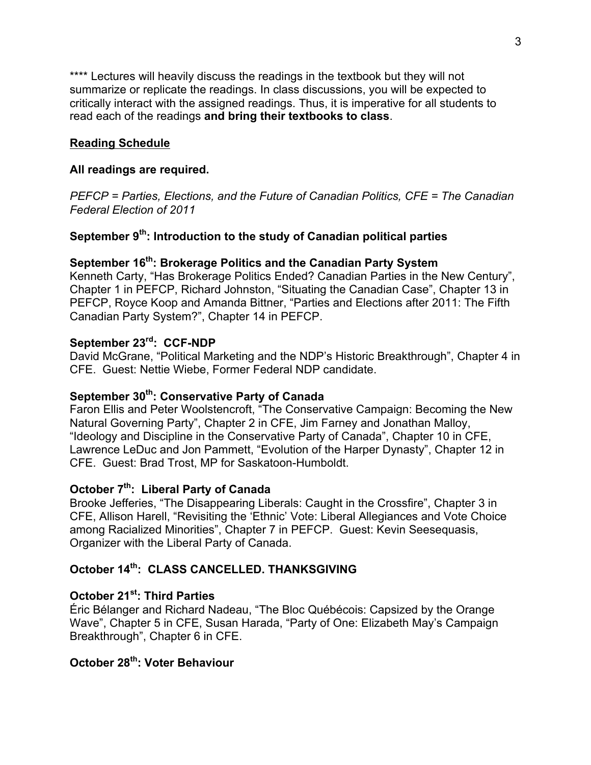\*\*\*\* Lectures will heavily discuss the readings in the textbook but they will not summarize or replicate the readings. In class discussions, you will be expected to critically interact with the assigned readings. Thus, it is imperative for all students to read each of the readings **and bring their textbooks to class**.

### **Reading Schedule**

#### **All readings are required.**

*PEFCP = Parties, Elections, and the Future of Canadian Politics, CFE = The Canadian Federal Election of 2011*

# **September 9th: Introduction to the study of Canadian political parties**

#### **September 16th : Brokerage Politics and the Canadian Party System**

Kenneth Carty, "Has Brokerage Politics Ended? Canadian Parties in the New Century", Chapter 1 in PEFCP, Richard Johnston, "Situating the Canadian Case", Chapter 13 in PEFCP, Royce Koop and Amanda Bittner, "Parties and Elections after 2011: The Fifth Canadian Party System?", Chapter 14 in PEFCP.

#### **September 23rd : CCF-NDP**

David McGrane, "Political Marketing and the NDP's Historic Breakthrough", Chapter 4 in CFE. Guest: Nettie Wiebe, Former Federal NDP candidate.

## **September 30th : Conservative Party of Canada**

Faron Ellis and Peter Woolstencroft, "The Conservative Campaign: Becoming the New Natural Governing Party", Chapter 2 in CFE, Jim Farney and Jonathan Malloy, "Ideology and Discipline in the Conservative Party of Canada", Chapter 10 in CFE, Lawrence LeDuc and Jon Pammett, "Evolution of the Harper Dynasty", Chapter 12 in CFE. Guest: Brad Trost, MP for Saskatoon-Humboldt.

### **October 7th : Liberal Party of Canada**

Brooke Jefferies, "The Disappearing Liberals: Caught in the Crossfire", Chapter 3 in CFE, Allison Harell, "Revisiting the 'Ethnic' Vote: Liberal Allegiances and Vote Choice among Racialized Minorities", Chapter 7 in PEFCP. Guest: Kevin Seesequasis, Organizer with the Liberal Party of Canada.

# **October 14th: CLASS CANCELLED. THANKSGIVING**

#### **October 21st: Third Parties**

Éric Bélanger and Richard Nadeau, "The Bloc Québécois: Capsized by the Orange Wave", Chapter 5 in CFE, Susan Harada, "Party of One: Elizabeth May's Campaign Breakthrough", Chapter 6 in CFE.

# **October 28th: Voter Behaviour**